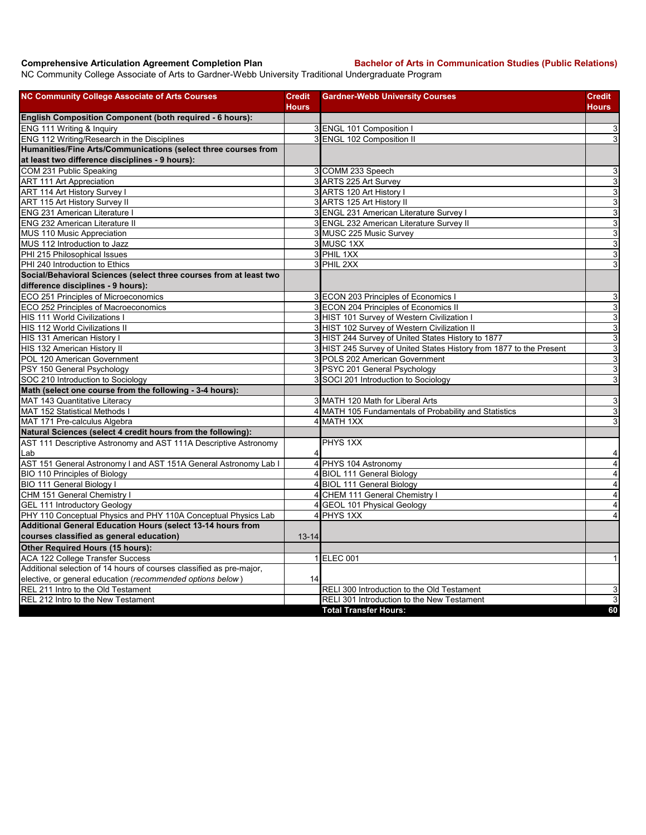**Comprehensive Articulation Agreement Completion Plan Bachelor of Arts in Communication Studies (Public Relations)**

NC Community College Associate of Arts to Gardner-Webb University Traditional Undergraduate Program

| <b>NC Community College Associate of Arts Courses</b>                | <b>Credit</b><br>Hours | <b>Gardner-Webb University Courses</b>                              | Credit<br>Hours           |
|----------------------------------------------------------------------|------------------------|---------------------------------------------------------------------|---------------------------|
| English Composition Component (both required - 6 hours):             |                        |                                                                     |                           |
| ENG 111 Writing & Inquiry                                            |                        | 3 ENGL 101 Composition I                                            | 3                         |
| ENG 112 Writing/Research in the Disciplines                          |                        | 3 ENGL 102 Composition II                                           | $\mathbf{3}$              |
| Humanities/Fine Arts/Communications (select three courses from       |                        |                                                                     |                           |
| at least two difference disciplines - 9 hours):                      |                        |                                                                     |                           |
| COM 231 Public Speaking                                              |                        | 3 COMM 233 Speech                                                   | 3                         |
| <b>ART 111 Art Appreciation</b>                                      |                        | 3 ARTS 225 Art Survey                                               | $\ensuremath{\mathsf{3}}$ |
| ART 114 Art History Survey I                                         |                        | 3 ARTS 120 Art History I                                            | ω                         |
| ART 115 Art History Survey II                                        |                        | 3 ARTS 125 Art History II                                           | $\overline{3}$            |
| <b>ENG 231 American Literature I</b>                                 |                        | 3 ENGL 231 American Literature Survey I                             | ω                         |
| <b>ENG 232 American Literature II</b>                                |                        | 3 ENGL 232 American Literature Survey II                            | ω                         |
| MUS 110 Music Appreciation                                           |                        | 3 MUSC 225 Music Survey                                             | $\overline{3}$            |
| MUS 112 Introduction to Jazz                                         |                        | 3 MUSC 1XX                                                          | ω                         |
| PHI 215 Philosophical Issues                                         |                        | 3 PHIL 1XX                                                          | $\mathbf{3}$              |
| PHI 240 Introduction to Ethics                                       |                        | 3 PHIL 2XX                                                          | 3                         |
| Social/Behavioral Sciences (select three courses from at least two   |                        |                                                                     |                           |
| difference disciplines - 9 hours):                                   |                        |                                                                     |                           |
| ECO 251 Principles of Microeconomics                                 |                        | 3 ECON 203 Principles of Economics I                                | 3                         |
| ECO 252 Principles of Macroeconomics                                 |                        | 3 ECON 204 Principles of Economics II                               | ω                         |
| <b>HIS 111 World Civilizations I</b>                                 |                        | 3 HIST 101 Survey of Western Civilization I                         | ω                         |
| <b>HIS 112 World Civilizations II</b>                                |                        | 3 HIST 102 Survey of Western Civilization II                        | ω                         |
| HIS 131 American History I                                           |                        | 3 HIST 244 Survey of United States History to 1877                  | 3                         |
| HIS 132 American History II                                          |                        | 3 HIST 245 Survey of United States History from 1877 to the Present | $\ensuremath{\mathsf{3}}$ |
| POL 120 American Government                                          |                        | 3 POLS 202 American Government                                      | ω                         |
| PSY 150 General Psychology                                           |                        | 3 PSYC 201 General Psychology                                       | ω                         |
| SOC 210 Introduction to Sociology                                    |                        | 3 SOCI 201 Introduction to Sociology                                | 3                         |
| Math (select one course from the following - 3-4 hours):             |                        |                                                                     |                           |
| MAT 143 Quantitative Literacy                                        |                        | 3 MATH 120 Math for Liberal Arts                                    | 3                         |
| MAT 152 Statistical Methods I                                        |                        | 4 MATH 105 Fundamentals of Probability and Statistics               | ω                         |
| MAT 171 Pre-calculus Algebra                                         |                        | 4 MATH 1XX                                                          | 3                         |
| Natural Sciences (select 4 credit hours from the following):         |                        |                                                                     |                           |
| AST 111 Descriptive Astronomy and AST 111A Descriptive Astronomy     |                        | PHYS 1XX                                                            |                           |
| lLab                                                                 | 4                      |                                                                     | 4                         |
| AST 151 General Astronomy I and AST 151A General Astronomy Lab I     |                        | 4 PHYS 104 Astronomy                                                | $\overline{4}$            |
| <b>BIO 110 Principles of Biology</b>                                 |                        | 4 BIOL 111 General Biology                                          | $\overline{\mathbf{4}}$   |
| <b>BIO 111 General Biology I</b>                                     |                        | 4 BIOL 111 General Biology                                          | $\overline{\mathbf{4}}$   |
| CHM 151 General Chemistry I                                          |                        | 4 CHEM 111 General Chemistry I                                      | $\overline{\mathbf{4}}$   |
| <b>GEL 111 Introductory Geology</b>                                  |                        | 4 GEOL 101 Physical Geology                                         | 4                         |
| PHY 110 Conceptual Physics and PHY 110A Conceptual Physics Lab       |                        | 4 PHYS 1XX                                                          | $\overline{4}$            |
| Additional General Education Hours (select 13-14 hours from          |                        |                                                                     |                           |
| courses classified as general education)                             | $13 - 14$              |                                                                     |                           |
| Other Required Hours (15 hours):                                     |                        |                                                                     |                           |
| <b>ACA 122 College Transfer Success</b>                              |                        | 1 ELEC 001                                                          | 1                         |
| Additional selection of 14 hours of courses classified as pre-major, |                        |                                                                     |                           |
| elective, or general education (recommended options below)           | 14                     |                                                                     |                           |
| REL 211 Intro to the Old Testament                                   |                        | RELI 300 Introduction to the Old Testament                          | 3                         |
| REL 212 Intro to the New Testament                                   |                        | RELI 301 Introduction to the New Testament                          | 3                         |
|                                                                      |                        | <b>Total Transfer Hours:</b>                                        | 60                        |